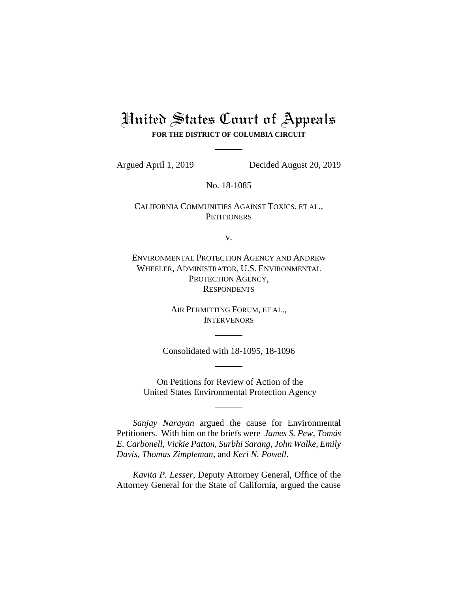# United States Court of Appeals **FOR THE DISTRICT OF COLUMBIA CIRCUIT**

Argued April 1, 2019 Decided August 20, 2019

No. 18-1085

CALIFORNIA COMMUNITIES AGAINST TOXICS, ET AL., **PETITIONERS** 

v.

ENVIRONMENTAL PROTECTION AGENCY AND ANDREW WHEELER, ADMINISTRATOR, U.S. ENVIRONMENTAL PROTECTION AGENCY, **RESPONDENTS** 

> AIR PERMITTING FORUM, ET AL., **INTERVENORS**

Consolidated with 18-1095, 18-1096

On Petitions for Review of Action of the United States Environmental Protection Agency

*Sanjay Narayan* argued the cause for Environmental Petitioners. With him on the briefs were *James S. Pew*, *Tomás E. Carbonell*, *Vickie Patton*, *Surbhi Sarang*, *John Walke*, *Emily Davis*, *Thomas Zimpleman*, and *Keri N. Powell*.

*Kavita P. Lesser*, Deputy Attorney General, Office of the Attorney General for the State of California, argued the cause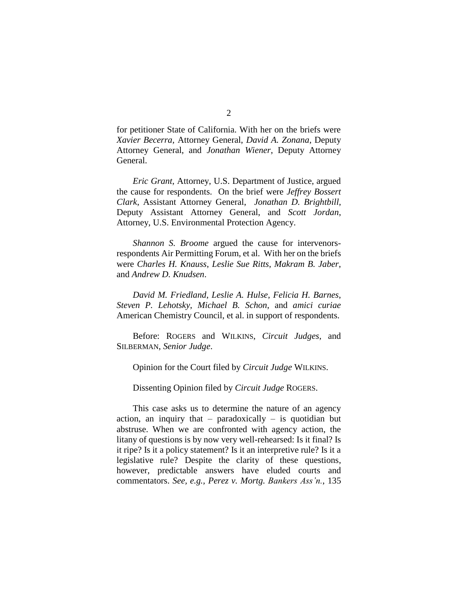for petitioner State of California. With her on the briefs were *Xavier Becerra*, Attorney General, *David A. Zonana*, Deputy Attorney General, and *Jonathan Wiener*, Deputy Attorney General.

*Eric Grant*, Attorney, U.S. Department of Justice, argued the cause for respondents. On the brief were *Jeffrey Bossert Clark*, Assistant Attorney General, *Jonathan D. Brightbill*, Deputy Assistant Attorney General, and *Scott Jordan*, Attorney, U.S. Environmental Protection Agency.

*Shannon S. Broome* argued the cause for intervenorsrespondents Air Permitting Forum, et al. With her on the briefs were *Charles H. Knauss*, *Leslie Sue Ritts*, *Makram B. Jaber*, and *Andrew D. Knudsen*.

*David M. Friedland*, *Leslie A. Hulse*, *Felicia H. Barnes*, *Steven P. Lehotsky*, *Michael B. Schon*, and *amici curiae*  American Chemistry Council, et al. in support of respondents.

Before: ROGERS and WILKINS, *Circuit Judges*, and SILBERMAN, *Senior Judge*.

Opinion for the Court filed by *Circuit Judge* WILKINS.

Dissenting Opinion filed by *Circuit Judge* ROGERS.

This case asks us to determine the nature of an agency action, an inquiry that – paradoxically – is quotidian but abstruse. When we are confronted with agency action, the litany of questions is by now very well-rehearsed: Is it final? Is it ripe? Is it a policy statement? Is it an interpretive rule? Is it a legislative rule? Despite the clarity of these questions, however, predictable answers have eluded courts and commentators. *See, e.g., Perez v. Mortg. Bankers Ass'n.*, 135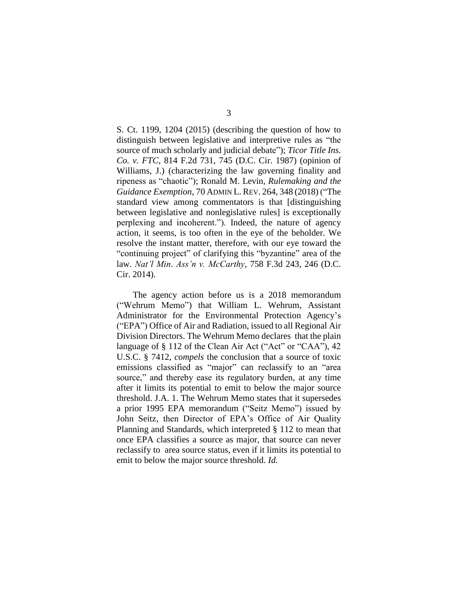S. Ct. 1199, 1204 (2015) (describing the question of how to distinguish between legislative and interpretive rules as "the source of much scholarly and judicial debate"); *Ticor Title Ins. Co. v. FTC*, 814 F.2d 731, 745 (D.C. Cir. 1987) (opinion of Williams, J.) (characterizing the law governing finality and ripeness as "chaotic"); Ronald M. Levin, *Rulemaking and the Guidance Exemption*, 70 ADMIN L. REV. 264, 348 (2018) ("The standard view among commentators is that [distinguishing between legislative and nonlegislative rules] is exceptionally perplexing and incoherent."). Indeed, the nature of agency action, it seems, is too often in the eye of the beholder. We resolve the instant matter, therefore, with our eye toward the "continuing project" of clarifying this "byzantine" area of the law. *Nat'l Min*. *Ass'n v. McCarthy*, 758 F.3d 243, 246 (D.C. Cir. 2014).

The agency action before us is a 2018 memorandum ("Wehrum Memo") that William L. Wehrum, Assistant Administrator for the Environmental Protection Agency's ("EPA") Office of Air and Radiation, issued to all Regional Air Division Directors. The Wehrum Memo declares that the plain language of § 112 of the Clean Air Act ("Act" or "CAA"), 42 U.S.C. § 7412, *compels* the conclusion that a source of toxic emissions classified as "major" can reclassify to an "area source," and thereby ease its regulatory burden, at any time after it limits its potential to emit to below the major source threshold. J.A. 1. The Wehrum Memo states that it supersedes a prior 1995 EPA memorandum ("Seitz Memo") issued by John Seitz, then Director of EPA's Office of Air Quality Planning and Standards, which interpreted § 112 to mean that once EPA classifies a source as major, that source can never reclassify to area source status, even if it limits its potential to emit to below the major source threshold. *Id.*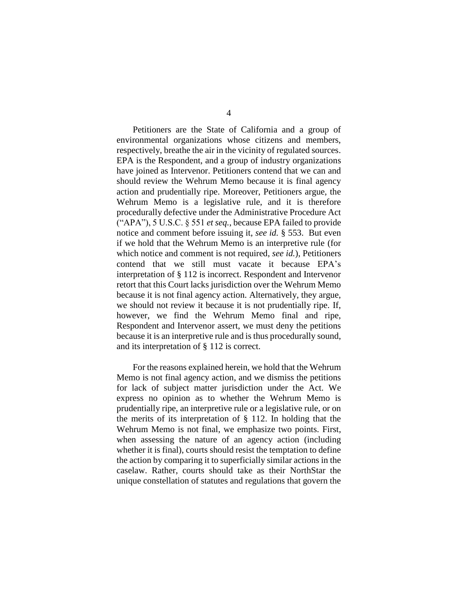Petitioners are the State of California and a group of environmental organizations whose citizens and members, respectively, breathe the air in the vicinity of regulated sources. EPA is the Respondent, and a group of industry organizations have joined as Intervenor. Petitioners contend that we can and should review the Wehrum Memo because it is final agency action and prudentially ripe. Moreover, Petitioners argue, the Wehrum Memo is a legislative rule, and it is therefore procedurally defective under the Administrative Procedure Act ("APA"), 5 U.S.C. § 551 *et seq.*, because EPA failed to provide notice and comment before issuing it, *see id.* § 553. But even if we hold that the Wehrum Memo is an interpretive rule (for which notice and comment is not required, *see id.*), Petitioners contend that we still must vacate it because EPA's interpretation of § 112 is incorrect. Respondent and Intervenor retort that this Court lacks jurisdiction over the Wehrum Memo because it is not final agency action. Alternatively, they argue, we should not review it because it is not prudentially ripe. If, however, we find the Wehrum Memo final and ripe, Respondent and Intervenor assert, we must deny the petitions because it is an interpretive rule and is thus procedurally sound, and its interpretation of § 112 is correct.

For the reasons explained herein, we hold that the Wehrum Memo is not final agency action, and we dismiss the petitions for lack of subject matter jurisdiction under the Act. We express no opinion as to whether the Wehrum Memo is prudentially ripe, an interpretive rule or a legislative rule, or on the merits of its interpretation of § 112. In holding that the Wehrum Memo is not final, we emphasize two points. First, when assessing the nature of an agency action (including whether it is final), courts should resist the temptation to define the action by comparing it to superficially similar actions in the caselaw. Rather, courts should take as their NorthStar the unique constellation of statutes and regulations that govern the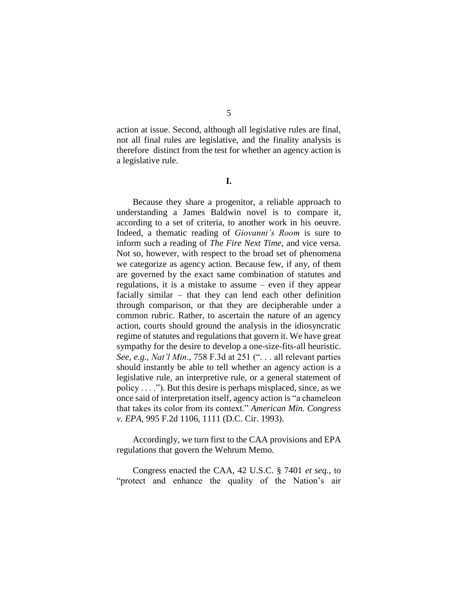action at issue. Second, although all legislative rules are final, not all final rules are legislative, and the finality analysis is therefore distinct from the test for whether an agency action is

**I.**

a legislative rule.

Because they share a progenitor, a reliable approach to understanding a James Baldwin novel is to compare it, according to a set of criteria, to another work in his oeuvre. Indeed, a thematic reading of *Giovanni's Room* is sure to inform such a reading of *The Fire Next Time*, and vice versa. Not so, however, with respect to the broad set of phenomena we categorize as agency action. Because few, if any, of them are governed by the exact same combination of statutes and regulations, it is a mistake to assume – even if they appear facially similar – that they can lend each other definition through comparison, or that they are decipherable under a common rubric. Rather, to ascertain the nature of an agency action, courts should ground the analysis in the idiosyncratic regime of statutes and regulations that govern it. We have great sympathy for the desire to develop a one-size-fits-all heuristic. *See, e.g., Nat'l Min*., 758 F.3d at 251 (". . . all relevant parties should instantly be able to tell whether an agency action is a legislative rule, an interpretive rule, or a general statement of policy . . . ."). But this desire is perhaps misplaced, since, as we once said of interpretation itself, agency action is "a chameleon that takes its color from its context." *American Min. Congress v. EPA*, 995 F.2d 1106, 1111 (D.C. Cir. 1993).

Accordingly, we turn first to the CAA provisions and EPA regulations that govern the Wehrum Memo.

Congress enacted the CAA, 42 U.S.C. § 7401 *et seq.*, to "protect and enhance the quality of the Nation's air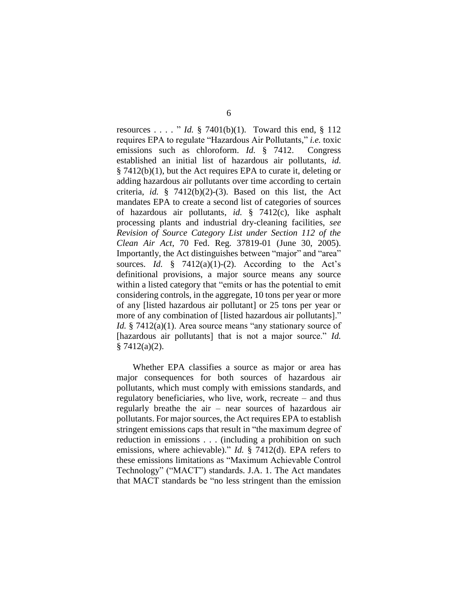resources . . . . " *Id.* § 7401(b)(1). Toward this end, § 112 requires EPA to regulate "Hazardous Air Pollutants," *i.e.* toxic emissions such as chloroform. *Id.* § 7412. Congress established an initial list of hazardous air pollutants, *id.* § 7412(b)(1), but the Act requires EPA to curate it, deleting or adding hazardous air pollutants over time according to certain criteria, *id.* § 7412(b)(2)-(3). Based on this list, the Act mandates EPA to create a second list of categories of sources of hazardous air pollutants, *id.* § 7412(c), like asphalt processing plants and industrial dry-cleaning facilities, *see Revision of Source Category List under Section 112 of the Clean Air Act*, 70 Fed. Reg. 37819-01 (June 30, 2005). Importantly, the Act distinguishes between "major" and "area" sources. *Id.*  $\frac{8}{7412(a)(1)-(2)}$ . According to the Act's definitional provisions, a major source means any source within a listed category that "emits or has the potential to emit considering controls, in the aggregate, 10 tons per year or more of any [listed hazardous air pollutant] or 25 tons per year or more of any combination of [listed hazardous air pollutants]." *Id.* § 7412(a)(1). Area source means "any stationary source of [hazardous air pollutants] that is not a major source." *Id.*  $§ 7412(a)(2).$ 

Whether EPA classifies a source as major or area has major consequences for both sources of hazardous air pollutants, which must comply with emissions standards, and regulatory beneficiaries, who live, work, recreate – and thus regularly breathe the air – near sources of hazardous air pollutants. For major sources, the Act requires EPA to establish stringent emissions caps that result in "the maximum degree of reduction in emissions . . . (including a prohibition on such emissions, where achievable)." *Id.* § 7412(d). EPA refers to these emissions limitations as "Maximum Achievable Control Technology" ("MACT") standards. J.A. 1. The Act mandates that MACT standards be "no less stringent than the emission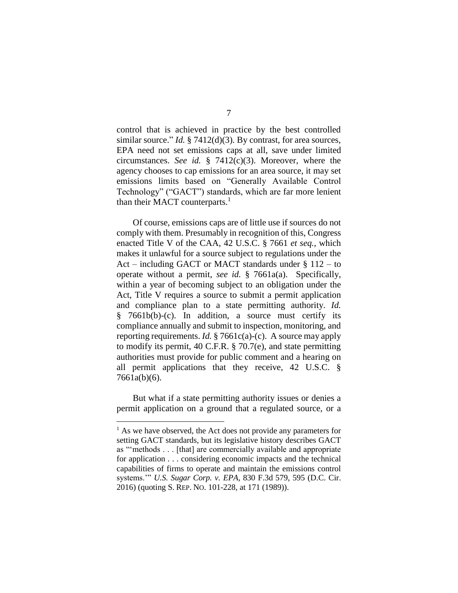control that is achieved in practice by the best controlled similar source." *Id.* § 7412(d)(3). By contrast, for area sources, EPA need not set emissions caps at all, save under limited circumstances. *See id.* § 7412(c)(3). Moreover, where the agency chooses to cap emissions for an area source, it may set emissions limits based on "Generally Available Control Technology" ("GACT") standards, which are far more lenient than their MACT counterparts.<sup>1</sup>

Of course, emissions caps are of little use if sources do not comply with them. Presumably in recognition of this, Congress enacted Title V of the CAA, 42 U.S.C. § 7661 *et seq.*, which makes it unlawful for a source subject to regulations under the Act – including GACT or MACT standards under § 112 – to operate without a permit, *see id.* § 7661a(a). Specifically, within a year of becoming subject to an obligation under the Act, Title V requires a source to submit a permit application and compliance plan to a state permitting authority. *Id.* § 7661b(b)-(c). In addition, a source must certify its compliance annually and submit to inspection, monitoring, and reporting requirements. *Id.* § 7661c(a)-(c). A source may apply to modify its permit, 40 C.F.R. § 70.7(e), and state permitting authorities must provide for public comment and a hearing on all permit applications that they receive, 42 U.S.C. § 7661a(b)(6).

But what if a state permitting authority issues or denies a permit application on a ground that a regulated source, or a

<sup>&</sup>lt;sup>1</sup> As we have observed, the Act does not provide any parameters for setting GACT standards, but its legislative history describes GACT as "'methods . . . [that] are commercially available and appropriate for application . . . considering economic impacts and the technical capabilities of firms to operate and maintain the emissions control systems.'" *U.S. Sugar Corp. v. EPA*, 830 F.3d 579, 595 (D.C. Cir. 2016) (quoting S. REP. NO. 101-228, at 171 (1989)).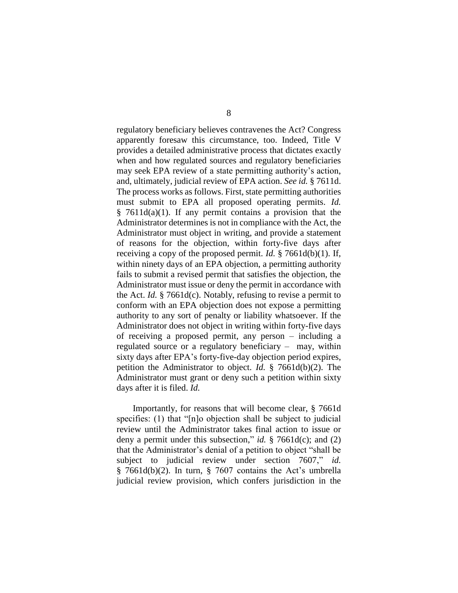regulatory beneficiary believes contravenes the Act? Congress apparently foresaw this circumstance, too. Indeed, Title V provides a detailed administrative process that dictates exactly when and how regulated sources and regulatory beneficiaries may seek EPA review of a state permitting authority's action, and, ultimately, judicial review of EPA action. *See id.* § 7611d. The process works as follows. First, state permitting authorities must submit to EPA all proposed operating permits. *Id.*  $§ 7611d(a)(1)$ . If any permit contains a provision that the Administrator determines is not in compliance with the Act, the Administrator must object in writing, and provide a statement of reasons for the objection, within forty-five days after receiving a copy of the proposed permit. *Id.* § 7661d(b)(1). If, within ninety days of an EPA objection, a permitting authority fails to submit a revised permit that satisfies the objection, the Administrator must issue or deny the permit in accordance with the Act. *Id.* § 7661d(c). Notably, refusing to revise a permit to conform with an EPA objection does not expose a permitting authority to any sort of penalty or liability whatsoever. If the Administrator does not object in writing within forty-five days of receiving a proposed permit, any person – including a regulated source or a regulatory beneficiary – may, within sixty days after EPA's forty-five-day objection period expires, petition the Administrator to object. *Id.* § 7661d(b)(2). The Administrator must grant or deny such a petition within sixty days after it is filed. *Id.*

Importantly, for reasons that will become clear, § 7661d specifies: (1) that "[n]o objection shall be subject to judicial review until the Administrator takes final action to issue or deny a permit under this subsection," *id.* § 7661d(c); and (2) that the Administrator's denial of a petition to object "shall be subject to judicial review under section 7607," § 7661d(b)(2). In turn, § 7607 contains the Act's umbrella judicial review provision, which confers jurisdiction in the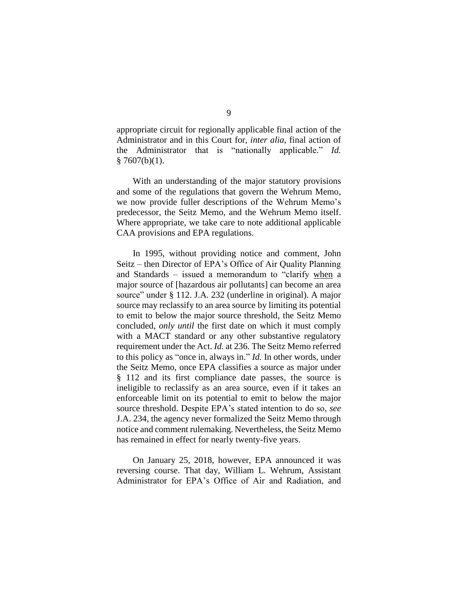appropriate circuit for regionally applicable final action of the Administrator and in this Court for, *inter alia*, final action of the Administrator that is "nationally applicable." *Id.*  $§ 7607(b)(1).$ 

With an understanding of the major statutory provisions and some of the regulations that govern the Wehrum Memo, we now provide fuller descriptions of the Wehrum Memo's predecessor, the Seitz Memo, and the Wehrum Memo itself. Where appropriate, we take care to note additional applicable CAA provisions and EPA regulations.

In 1995, without providing notice and comment, John Seitz – then Director of EPA's Office of Air Quality Planning and Standards – issued a memorandum to "clarify when a major source of [hazardous air pollutants] can become an area source" under § 112. J.A. 232 (underline in original). A major source may reclassify to an area source by limiting its potential to emit to below the major source threshold, the Seitz Memo concluded, *only until* the first date on which it must comply with a MACT standard or any other substantive regulatory requirement under the Act. *Id.* at 236. The Seitz Memo referred to this policy as "once in, always in." *Id.* In other words, under the Seitz Memo, once EPA classifies a source as major under § 112 and its first compliance date passes, the source is ineligible to reclassify as an area source, even if it takes an enforceable limit on its potential to emit to below the major source threshold. Despite EPA's stated intention to do so, *see*  J.A. 234, the agency never formalized the Seitz Memo through notice and comment rulemaking. Nevertheless, the Seitz Memo has remained in effect for nearly twenty-five years.

On January 25, 2018, however, EPA announced it was reversing course. That day, William L. Wehrum, Assistant Administrator for EPA's Office of Air and Radiation, and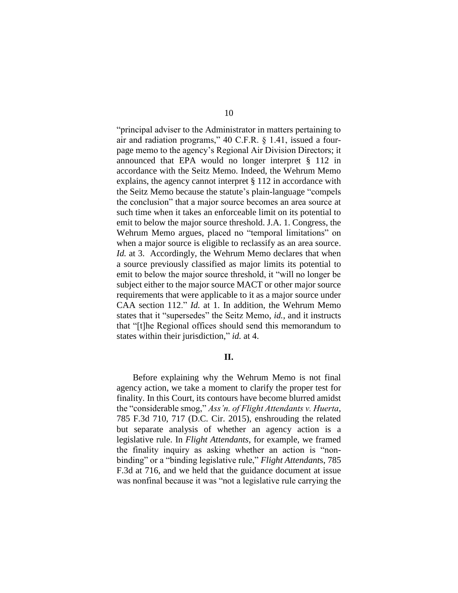"principal adviser to the Administrator in matters pertaining to air and radiation programs," 40 C.F.R. § 1.41, issued a fourpage memo to the agency's Regional Air Division Directors; it announced that EPA would no longer interpret § 112 in accordance with the Seitz Memo. Indeed, the Wehrum Memo explains, the agency cannot interpret § 112 in accordance with the Seitz Memo because the statute's plain-language "compels the conclusion" that a major source becomes an area source at such time when it takes an enforceable limit on its potential to emit to below the major source threshold. J.A. 1. Congress, the Wehrum Memo argues, placed no "temporal limitations" on when a major source is eligible to reclassify as an area source. *Id.* at 3. Accordingly, the Wehrum Memo declares that when a source previously classified as major limits its potential to emit to below the major source threshold, it "will no longer be subject either to the major source MACT or other major source requirements that were applicable to it as a major source under CAA section 112." *Id.* at 1. In addition, the Wehrum Memo states that it "supersedes" the Seitz Memo, *id.*, and it instructs that "[t]he Regional offices should send this memorandum to states within their jurisdiction," *id.* at 4.

## **II.**

Before explaining why the Wehrum Memo is not final agency action, we take a moment to clarify the proper test for finality. In this Court, its contours have become blurred amidst the "considerable smog," *Ass'n. of Flight Attendants v. Huerta*, 785 F.3d 710, 717 (D.C. Cir. 2015), enshrouding the related but separate analysis of whether an agency action is a legislative rule. In *Flight Attendants*, for example, we framed the finality inquiry as asking whether an action is "nonbinding" or a "binding legislative rule," *Flight Attendant*s, 785 F.3d at 716, and we held that the guidance document at issue was nonfinal because it was "not a legislative rule carrying the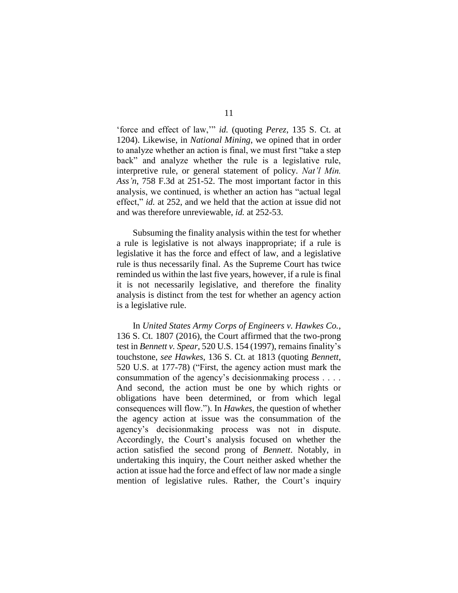'force and effect of law,'" *id.* (quoting *Perez*, 135 S. Ct. at 1204). Likewise, in *National Mining*, we opined that in order to analyze whether an action is final, we must first "take a step back" and analyze whether the rule is a legislative rule, interpretive rule, or general statement of policy. *Nat'l Min. Ass'n*, 758 F.3d at 251-52. The most important factor in this analysis, we continued, is whether an action has "actual legal effect," *id.* at 252, and we held that the action at issue did not and was therefore unreviewable, *id.* at 252-53.

Subsuming the finality analysis within the test for whether a rule is legislative is not always inappropriate; if a rule is legislative it has the force and effect of law, and a legislative rule is thus necessarily final. As the Supreme Court has twice reminded us within the last five years, however, if a rule is final it is not necessarily legislative, and therefore the finality analysis is distinct from the test for whether an agency action is a legislative rule.

In *United States Army Corps of Engineers v. Hawkes Co.*, 136 S. Ct. 1807 (2016), the Court affirmed that the two-prong test in *Bennett v. Spear*, 520 U.S. 154 (1997), remains finality's touchstone, *see Hawkes*, 136 S. Ct. at 1813 (quoting *Bennett*, 520 U.S. at 177-78) ("First, the agency action must mark the consummation of the agency's decisionmaking process . . . . And second, the action must be one by which rights or obligations have been determined, or from which legal consequences will flow."). In *Hawkes*, the question of whether the agency action at issue was the consummation of the agency's decisionmaking process was not in dispute. Accordingly, the Court's analysis focused on whether the action satisfied the second prong of *Bennett*. Notably, in undertaking this inquiry, the Court neither asked whether the action at issue had the force and effect of law nor made a single mention of legislative rules. Rather, the Court's inquiry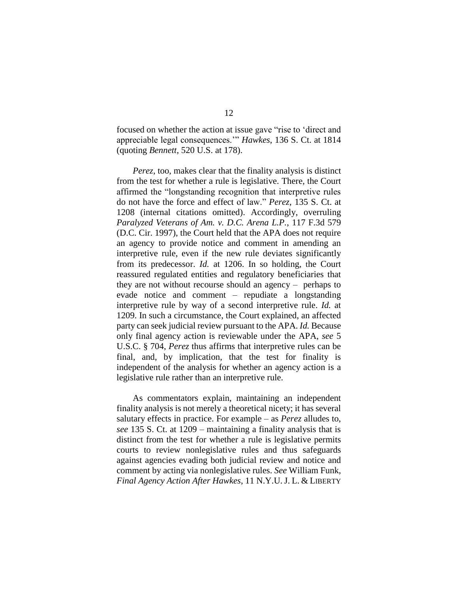focused on whether the action at issue gave "rise to 'direct and appreciable legal consequences.'" *Hawkes*, 136 S. Ct. at 1814 (quoting *Bennett*, 520 U.S. at 178).

*Perez*, too, makes clear that the finality analysis is distinct from the test for whether a rule is legislative. There, the Court affirmed the "longstanding recognition that interpretive rules do not have the force and effect of law." *Perez*, 135 S. Ct. at 1208 (internal citations omitted). Accordingly, overruling *Paralyzed Veterans of Am. v. D.C. Arena L.P.*, 117 F.3d 579 (D.C. Cir. 1997), the Court held that the APA does not require an agency to provide notice and comment in amending an interpretive rule, even if the new rule deviates significantly from its predecessor. *Id.* at 1206. In so holding, the Court reassured regulated entities and regulatory beneficiaries that they are not without recourse should an agency – perhaps to evade notice and comment – repudiate a longstanding interpretive rule by way of a second interpretive rule. *Id.* at 1209. In such a circumstance, the Court explained, an affected party can seek judicial review pursuant to the APA. *Id.* Because only final agency action is reviewable under the APA, *see* 5 U.S.C. § 704, *Perez* thus affirms that interpretive rules can be final, and, by implication, that the test for finality is independent of the analysis for whether an agency action is a legislative rule rather than an interpretive rule.

As commentators explain, maintaining an independent finality analysis is not merely a theoretical nicety; it has several salutary effects in practice. For example – as *Perez* alludes to, *see* 135 S. Ct. at 1209 – maintaining a finality analysis that is distinct from the test for whether a rule is legislative permits courts to review nonlegislative rules and thus safeguards against agencies evading both judicial review and notice and comment by acting via nonlegislative rules. *See* William Funk, *Final Agency Action After Hawkes*, 11 N.Y.U.J. L. & LIBERTY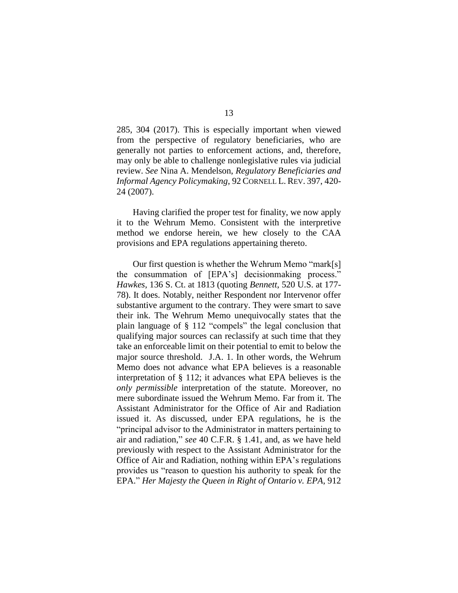285, 304 (2017). This is especially important when viewed from the perspective of regulatory beneficiaries, who are generally not parties to enforcement actions, and, therefore, may only be able to challenge nonlegislative rules via judicial review. *See* Nina A. Mendelson, *Regulatory Beneficiaries and Informal Agency Policymaking*, 92 CORNELL L. REV. 397, 420- 24 (2007).

Having clarified the proper test for finality, we now apply it to the Wehrum Memo. Consistent with the interpretive method we endorse herein, we hew closely to the CAA provisions and EPA regulations appertaining thereto.

Our first question is whether the Wehrum Memo "mark[s] the consummation of [EPA's] decisionmaking process." *Hawkes*, 136 S. Ct. at 1813 (quoting *Bennett*, 520 U.S. at 177- 78). It does. Notably, neither Respondent nor Intervenor offer substantive argument to the contrary. They were smart to save their ink. The Wehrum Memo unequivocally states that the plain language of § 112 "compels" the legal conclusion that qualifying major sources can reclassify at such time that they take an enforceable limit on their potential to emit to below the major source threshold. J.A. 1. In other words, the Wehrum Memo does not advance what EPA believes is a reasonable interpretation of § 112; it advances what EPA believes is the *only permissible* interpretation of the statute. Moreover, no mere subordinate issued the Wehrum Memo. Far from it. The Assistant Administrator for the Office of Air and Radiation issued it. As discussed, under EPA regulations, he is the "principal advisor to the Administrator in matters pertaining to air and radiation," *see* 40 C.F.R. § 1.41, and, as we have held previously with respect to the Assistant Administrator for the Office of Air and Radiation, nothing within EPA's regulations provides us "reason to question his authority to speak for the EPA." *Her Majesty the Queen in Right of Ontario v. EPA*, 912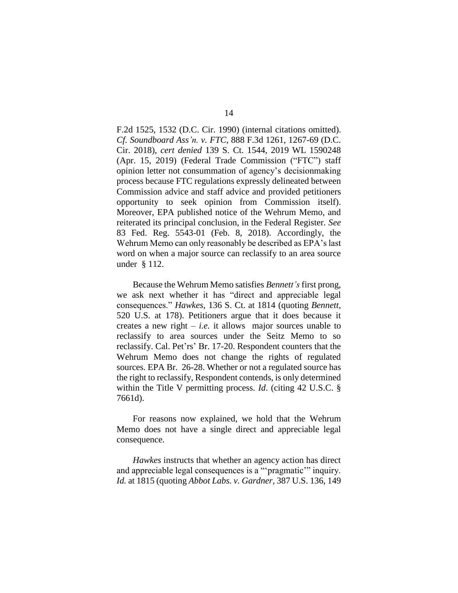F.2d 1525, 1532 (D.C. Cir. 1990) (internal citations omitted). *Cf. Soundboard Ass'n. v. FTC*, 888 F.3d 1261, 1267-69 (D.C. Cir. 2018), *cert denied* 139 S. Ct. 1544, 2019 WL 1590248 (Apr. 15, 2019) (Federal Trade Commission ("FTC") staff opinion letter not consummation of agency's decisionmaking process because FTC regulations expressly delineated between Commission advice and staff advice and provided petitioners opportunity to seek opinion from Commission itself). Moreover, EPA published notice of the Wehrum Memo, and reiterated its principal conclusion, in the Federal Register. *See* 83 Fed. Reg. 5543-01 (Feb. 8, 2018). Accordingly, the Wehrum Memo can only reasonably be described as EPA's last word on when a major source can reclassify to an area source under § 112.

Because the Wehrum Memo satisfies *Bennett's* first prong, we ask next whether it has "direct and appreciable legal consequences." *Hawkes*, 136 S. Ct. at 1814 (quoting *Bennett*, 520 U.S. at 178). Petitioners argue that it does because it creates a new right  $-$  *i.e.* it allows major sources unable to reclassify to area sources under the Seitz Memo to so reclassify. Cal. Pet'rs' Br. 17-20. Respondent counters that the Wehrum Memo does not change the rights of regulated sources. EPA Br. 26-28. Whether or not a regulated source has the right to reclassify, Respondent contends, is only determined within the Title V permitting process. *Id*. (citing 42 U.S.C. § 7661d).

For reasons now explained, we hold that the Wehrum Memo does not have a single direct and appreciable legal consequence.

*Hawkes* instructs that whether an agency action has direct and appreciable legal consequences is a "'pragmatic'" inquiry. *Id.* at 1815 (quoting *Abbot Labs. v. Gardner*, 387 U.S. 136, 149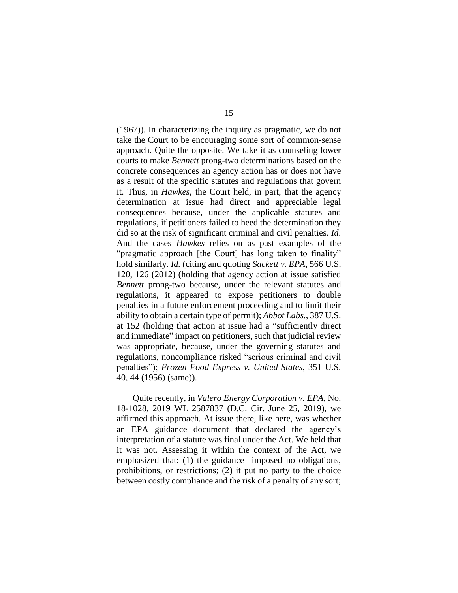(1967)). In characterizing the inquiry as pragmatic, we do not take the Court to be encouraging some sort of common-sense approach. Quite the opposite. We take it as counseling lower courts to make *Bennett* prong-two determinations based on the concrete consequences an agency action has or does not have as a result of the specific statutes and regulations that govern it. Thus, in *Hawkes*, the Court held, in part, that the agency determination at issue had direct and appreciable legal consequences because, under the applicable statutes and regulations, if petitioners failed to heed the determination they did so at the risk of significant criminal and civil penalties. *Id*. And the cases *Hawkes* relies on as past examples of the "pragmatic approach [the Court] has long taken to finality" hold similarly. *Id.* (citing and quoting *Sackett v. EPA*, 566 U.S. 120, 126 (2012) (holding that agency action at issue satisfied *Bennett* prong-two because, under the relevant statutes and regulations, it appeared to expose petitioners to double penalties in a future enforcement proceeding and to limit their ability to obtain a certain type of permit); *Abbot Labs.*, 387 U.S. at 152 (holding that action at issue had a "sufficiently direct and immediate" impact on petitioners, such that judicial review was appropriate, because, under the governing statutes and regulations, noncompliance risked "serious criminal and civil penalties"); *Frozen Food Express v. United States*, 351 U.S. 40, 44 (1956) (same)).

Quite recently, in *Valero Energy Corporation v. EPA*, No. 18-1028, 2019 WL 2587837 (D.C. Cir. June 25, 2019), we affirmed this approach. At issue there, like here, was whether an EPA guidance document that declared the agency's interpretation of a statute was final under the Act. We held that it was not. Assessing it within the context of the Act, we emphasized that: (1) the guidance imposed no obligations, prohibitions, or restrictions; (2) it put no party to the choice between costly compliance and the risk of a penalty of any sort;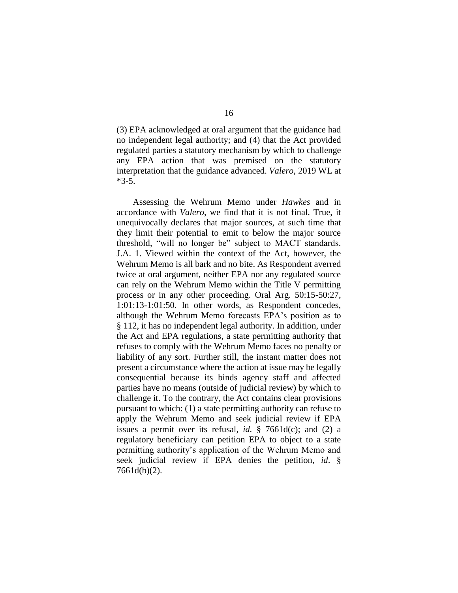(3) EPA acknowledged at oral argument that the guidance had no independent legal authority; and (4) that the Act provided regulated parties a statutory mechanism by which to challenge any EPA action that was premised on the statutory interpretation that the guidance advanced. *Valero*, 2019 WL at \*3-5.

Assessing the Wehrum Memo under *Hawkes* and in accordance with *Valero*, we find that it is not final. True, it unequivocally declares that major sources, at such time that they limit their potential to emit to below the major source threshold, "will no longer be" subject to MACT standards. J.A. 1. Viewed within the context of the Act, however, the Wehrum Memo is all bark and no bite. As Respondent averred twice at oral argument, neither EPA nor any regulated source can rely on the Wehrum Memo within the Title V permitting process or in any other proceeding. Oral Arg. 50:15-50:27, 1:01:13-1:01:50. In other words, as Respondent concedes, although the Wehrum Memo forecasts EPA's position as to § 112, it has no independent legal authority. In addition, under the Act and EPA regulations, a state permitting authority that refuses to comply with the Wehrum Memo faces no penalty or liability of any sort. Further still, the instant matter does not present a circumstance where the action at issue may be legally consequential because its binds agency staff and affected parties have no means (outside of judicial review) by which to challenge it. To the contrary, the Act contains clear provisions pursuant to which: (1) a state permitting authority can refuse to apply the Wehrum Memo and seek judicial review if EPA issues a permit over its refusal, *id.* § 7661d(c); and (2) a regulatory beneficiary can petition EPA to object to a state permitting authority's application of the Wehrum Memo and seek judicial review if EPA denies the petition, *id*. § 7661d(b)(2).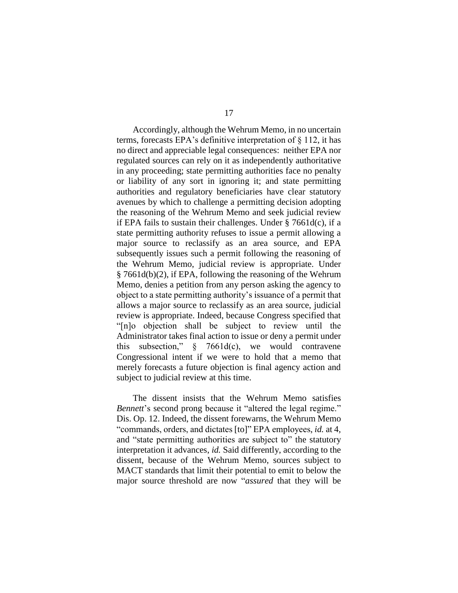Accordingly, although the Wehrum Memo, in no uncertain terms, forecasts EPA's definitive interpretation of § 112, it has no direct and appreciable legal consequences: neither EPA nor regulated sources can rely on it as independently authoritative in any proceeding; state permitting authorities face no penalty or liability of any sort in ignoring it; and state permitting authorities and regulatory beneficiaries have clear statutory avenues by which to challenge a permitting decision adopting the reasoning of the Wehrum Memo and seek judicial review if EPA fails to sustain their challenges. Under  $\S$  7661d(c), if a state permitting authority refuses to issue a permit allowing a major source to reclassify as an area source, and EPA subsequently issues such a permit following the reasoning of the Wehrum Memo, judicial review is appropriate. Under § 7661d(b)(2), if EPA, following the reasoning of the Wehrum Memo, denies a petition from any person asking the agency to object to a state permitting authority's issuance of a permit that allows a major source to reclassify as an area source, judicial review is appropriate. Indeed, because Congress specified that "[n]o objection shall be subject to review until the Administrator takes final action to issue or deny a permit under this subsection," § 7661d(c), we would contravene Congressional intent if we were to hold that a memo that merely forecasts a future objection is final agency action and subject to judicial review at this time.

The dissent insists that the Wehrum Memo satisfies *Bennett*'s second prong because it "altered the legal regime." Dis. Op. 12. Indeed, the dissent forewarns, the Wehrum Memo "commands, orders, and dictates [to]" EPA employees, *id.* at 4, and "state permitting authorities are subject to" the statutory interpretation it advances, *id.* Said differently, according to the dissent, because of the Wehrum Memo, sources subject to MACT standards that limit their potential to emit to below the major source threshold are now "*assured* that they will be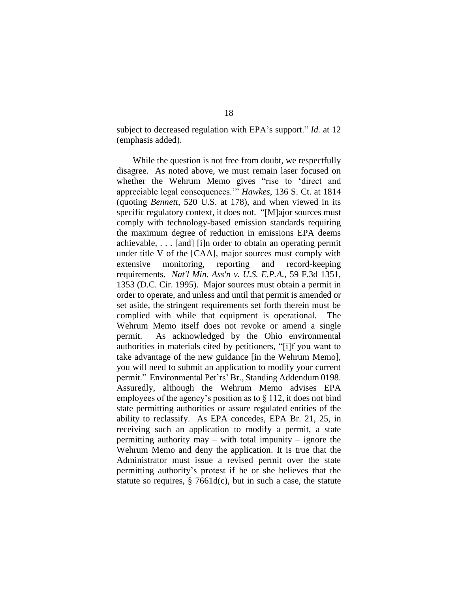subject to decreased regulation with EPA's support." *Id.* at 12 (emphasis added).

While the question is not free from doubt, we respectfully disagree. As noted above, we must remain laser focused on whether the Wehrum Memo gives "rise to 'direct and appreciable legal consequences.'" *Hawkes*, 136 S. Ct. at 1814 (quoting *Bennett*, 520 U.S. at 178), and when viewed in its specific regulatory context, it does not. "[M]ajor sources must comply with technology-based emission standards requiring the maximum degree of reduction in emissions EPA deems achievable, . . . [and] [i]n order to obtain an operating permit under title V of the [CAA], major sources must comply with extensive monitoring, reporting and record-keeping requirements. *Nat'l Min. Ass'n v. U.S. E.P.A.*, 59 F.3d 1351, 1353 (D.C. Cir. 1995). Major sources must obtain a permit in order to operate, and unless and until that permit is amended or set aside, the stringent requirements set forth therein must be complied with while that equipment is operational. The Wehrum Memo itself does not revoke or amend a single permit. As acknowledged by the Ohio environmental authorities in materials cited by petitioners, "[i]f you want to take advantage of the new guidance [in the Wehrum Memo], you will need to submit an application to modify your current permit." Environmental Pet'rs' Br., Standing Addendum 0198. Assuredly, although the Wehrum Memo advises EPA employees of the agency's position as to § 112, it does not bind state permitting authorities or assure regulated entities of the ability to reclassify. As EPA concedes, EPA Br. 21, 25, in receiving such an application to modify a permit, a state permitting authority may – with total impunity – ignore the Wehrum Memo and deny the application. It is true that the Administrator must issue a revised permit over the state permitting authority's protest if he or she believes that the statute so requires,  $\S$  7661d(c), but in such a case, the statute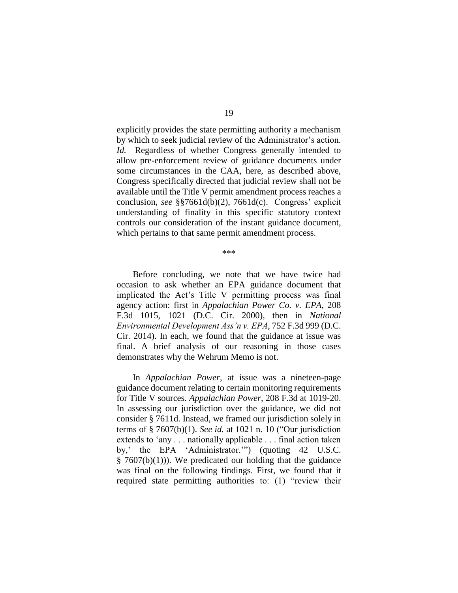explicitly provides the state permitting authority a mechanism by which to seek judicial review of the Administrator's action. *Id.* Regardless of whether Congress generally intended to allow pre-enforcement review of guidance documents under some circumstances in the CAA, here, as described above, Congress specifically directed that judicial review shall not be available until the Title V permit amendment process reaches a conclusion, *see* §§7661d(b)(2), 7661d(c). Congress' explicit understanding of finality in this specific statutory context controls our consideration of the instant guidance document, which pertains to that same permit amendment process.

\*\*\*

Before concluding, we note that we have twice had occasion to ask whether an EPA guidance document that implicated the Act's Title V permitting process was final agency action: first in *Appalachian Power Co. v. EPA*, 208 F.3d 1015, 1021 (D.C. Cir. 2000), then in *National Environmental Development Ass'n v. EPA*, 752 F.3d 999 (D.C. Cir. 2014). In each, we found that the guidance at issue was final. A brief analysis of our reasoning in those cases demonstrates why the Wehrum Memo is not.

In *Appalachian Power*, at issue was a nineteen-page guidance document relating to certain monitoring requirements for Title V sources. *Appalachian Power*, 208 F.3d at 1019-20. In assessing our jurisdiction over the guidance, we did not consider § 7611d. Instead, we framed our jurisdiction solely in terms of § 7607(b)(1). *See id.* at 1021 n. 10 ("Our jurisdiction extends to 'any . . . nationally applicable . . . final action taken by,' the EPA 'Administrator.'") (quoting 42 U.S.C.  $§ 7607(b)(1))$ . We predicated our holding that the guidance was final on the following findings. First, we found that it required state permitting authorities to: (1) "review their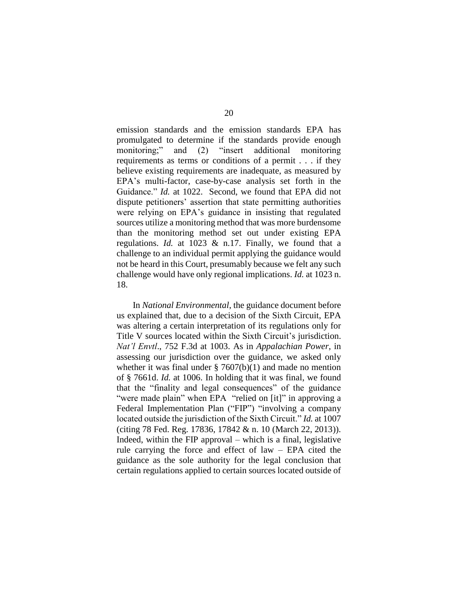emission standards and the emission standards EPA has promulgated to determine if the standards provide enough monitoring;" and (2) "insert additional monitoring requirements as terms or conditions of a permit . . . if they believe existing requirements are inadequate, as measured by EPA's multi-factor, case-by-case analysis set forth in the Guidance." *Id.* at 1022. Second, we found that EPA did not dispute petitioners' assertion that state permitting authorities were relying on EPA's guidance in insisting that regulated sources utilize a monitoring method that was more burdensome than the monitoring method set out under existing EPA regulations. *Id.* at 1023 & n.17. Finally, we found that a challenge to an individual permit applying the guidance would not be heard in this Court, presumably because we felt any such challenge would have only regional implications. *Id.* at 1023 n. 18.

In *National Environmental*, the guidance document before us explained that, due to a decision of the Sixth Circuit, EPA was altering a certain interpretation of its regulations only for Title V sources located within the Sixth Circuit's jurisdiction. *Nat'l Envtl*., 752 F.3d at 1003. As in *Appalachian Power*, in assessing our jurisdiction over the guidance, we asked only whether it was final under  $\S 7607(b)(1)$  and made no mention of § 7661d. *Id.* at 1006. In holding that it was final, we found that the "finality and legal consequences" of the guidance "were made plain" when EPA "relied on [it]" in approving a Federal Implementation Plan ("FIP") "involving a company located outside the jurisdiction of the Sixth Circuit." *Id.* at 1007 (citing 78 Fed. Reg. 17836, 17842 & n. 10 (March 22, 2013)). Indeed, within the FIP approval – which is a final, legislative rule carrying the force and effect of law – EPA cited the guidance as the sole authority for the legal conclusion that certain regulations applied to certain sources located outside of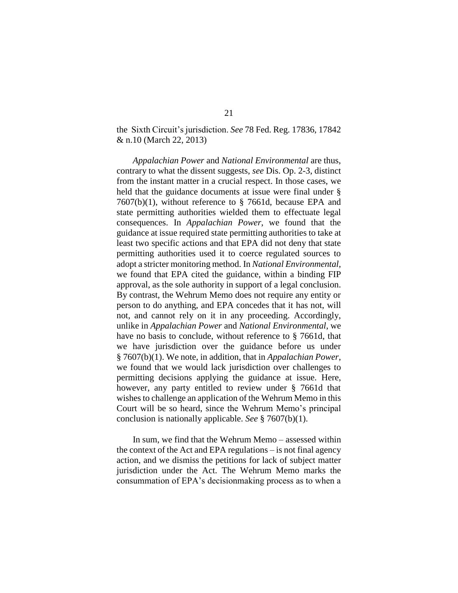# the Sixth Circuit's jurisdiction. *See* 78 Fed. Reg. 17836, 17842 & n.10 (March 22, 2013)

*Appalachian Power* and *National Environmental* are thus, contrary to what the dissent suggests, *see* Dis. Op. 2-3, distinct from the instant matter in a crucial respect. In those cases, we held that the guidance documents at issue were final under § 7607(b)(1), without reference to § 7661d, because EPA and state permitting authorities wielded them to effectuate legal consequences. In *Appalachian Power*, we found that the guidance at issue required state permitting authorities to take at least two specific actions and that EPA did not deny that state permitting authorities used it to coerce regulated sources to adopt a stricter monitoring method. In *National Environmental*, we found that EPA cited the guidance, within a binding FIP approval, as the sole authority in support of a legal conclusion. By contrast, the Wehrum Memo does not require any entity or person to do anything, and EPA concedes that it has not, will not, and cannot rely on it in any proceeding. Accordingly, unlike in *Appalachian Power* and *National Environmental*, we have no basis to conclude, without reference to § 7661d, that we have jurisdiction over the guidance before us under § 7607(b)(1). We note, in addition, that in *Appalachian Power*, we found that we would lack jurisdiction over challenges to permitting decisions applying the guidance at issue. Here, however, any party entitled to review under § 7661d that wishes to challenge an application of the Wehrum Memo in this Court will be so heard, since the Wehrum Memo's principal conclusion is nationally applicable. *See* § 7607(b)(1).

In sum, we find that the Wehrum Memo – assessed within the context of the Act and EPA regulations – is not final agency action, and we dismiss the petitions for lack of subject matter jurisdiction under the Act. The Wehrum Memo marks the consummation of EPA's decisionmaking process as to when a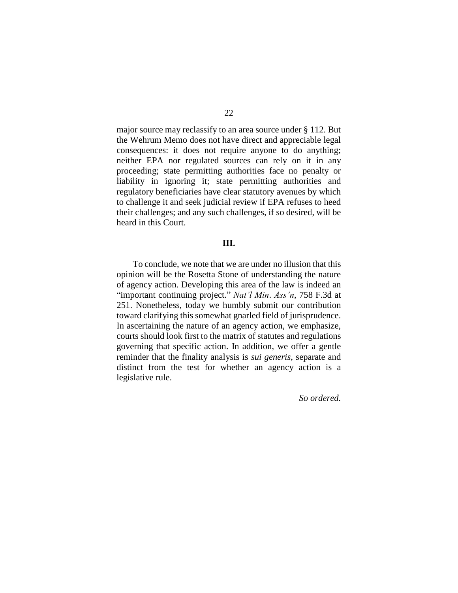major source may reclassify to an area source under § 112. But the Wehrum Memo does not have direct and appreciable legal consequences: it does not require anyone to do anything; neither EPA nor regulated sources can rely on it in any proceeding; state permitting authorities face no penalty or liability in ignoring it; state permitting authorities and regulatory beneficiaries have clear statutory avenues by which to challenge it and seek judicial review if EPA refuses to heed their challenges; and any such challenges, if so desired, will be heard in this Court.

# **III.**

To conclude, we note that we are under no illusion that this opinion will be the Rosetta Stone of understanding the nature of agency action. Developing this area of the law is indeed an "important continuing project." *Nat'l Min*. *Ass'n*, 758 F.3d at 251. Nonetheless, today we humbly submit our contribution toward clarifying this somewhat gnarled field of jurisprudence. In ascertaining the nature of an agency action, we emphasize, courts should look first to the matrix of statutes and regulations governing that specific action. In addition, we offer a gentle reminder that the finality analysis is *sui generis*, separate and distinct from the test for whether an agency action is a legislative rule.

*So ordered.*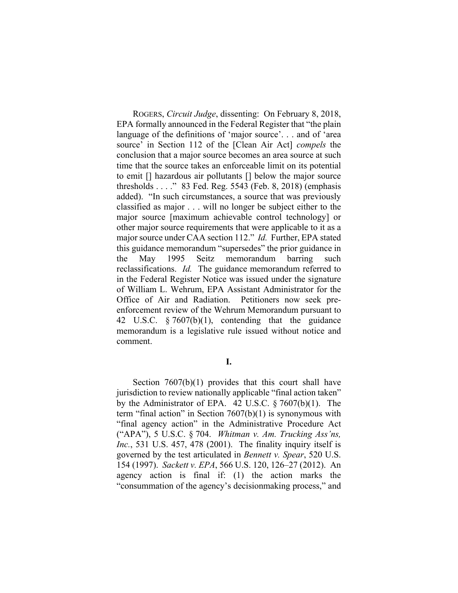ROGERS, *Circuit Judge*, dissenting: On February 8, 2018, EPA formally announced in the Federal Register that "the plain language of the definitions of 'major source'. . . and of 'area source' in Section 112 of the [Clean Air Act] *compels* the conclusion that a major source becomes an area source at such time that the source takes an enforceable limit on its potential to emit [] hazardous air pollutants [] below the major source thresholds . . . ." 83 Fed. Reg. 5543 (Feb. 8, 2018) (emphasis added). "In such circumstances, a source that was previously classified as major . . . will no longer be subject either to the major source [maximum achievable control technology] or other major source requirements that were applicable to it as a major source under CAA section 112." *Id.* Further, EPA stated this guidance memorandum "supersedes" the prior guidance in the May 1995 Seitz memorandum barring such reclassifications. *Id.* The guidance memorandum referred to in the Federal Register Notice was issued under the signature of William L. Wehrum, EPA Assistant Administrator for the Office of Air and Radiation. Petitioners now seek preenforcement review of the Wehrum Memorandum pursuant to 42 U.S.C. § 7607(b)(1), contending that the guidance memorandum is a legislative rule issued without notice and comment.

#### **I.**

Section 7607(b)(1) provides that this court shall have jurisdiction to review nationally applicable "final action taken" by the Administrator of EPA. 42 U.S.C. § 7607(b)(1). The term "final action" in Section 7607(b)(1) is synonymous with "final agency action" in the Administrative Procedure Act ("APA"), 5 U.S.C. § 704. *Whitman v. Am. Trucking Ass'ns, Inc.*, 531 U.S. 457, 478 (2001). The finality inquiry itself is governed by the test articulated in *Bennett v. Spear*, 520 U.S. 154 (1997). *Sackett v. EPA*, 566 U.S. 120, 126–27 (2012). An agency action is final if: (1) the action marks the "consummation of the agency's decisionmaking process," and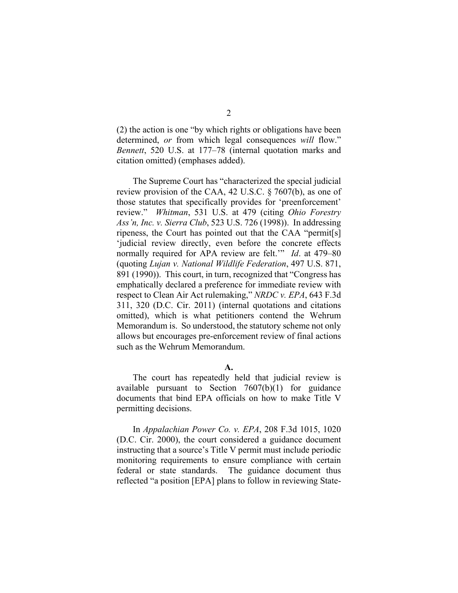(2) the action is one "by which rights or obligations have been determined, *or* from which legal consequences *will* flow." *Bennett*, 520 U.S. at 177–78 (internal quotation marks and citation omitted) (emphases added).

The Supreme Court has "characterized the special judicial review provision of the CAA, 42 U.S.C. § 7607(b), as one of those statutes that specifically provides for 'preenforcement' review." *Whitman*, 531 U.S. at 479 (citing *Ohio Forestry Ass'n, Inc. v. Sierra Club*, 523 U.S. 726 (1998)). In addressing ripeness, the Court has pointed out that the CAA "permit[s] 'judicial review directly, even before the concrete effects normally required for APA review are felt.'" *Id*. at 479–80 (quoting *Lujan v. National Wildlife Federation*, 497 U.S. 871, 891 (1990)). This court, in turn, recognized that "Congress has emphatically declared a preference for immediate review with respect to Clean Air Act rulemaking," *NRDC v. EPA*, 643 F.3d 311, 320 (D.C. Cir. 2011) (internal quotations and citations omitted), which is what petitioners contend the Wehrum Memorandum is. So understood, the statutory scheme not only allows but encourages pre-enforcement review of final actions such as the Wehrum Memorandum.

## **A.**

The court has repeatedly held that judicial review is available pursuant to Section  $7607(b)(1)$  for guidance documents that bind EPA officials on how to make Title V permitting decisions.

In *Appalachian Power Co. v. EPA*, 208 F.3d 1015, 1020 (D.C. Cir. 2000), the court considered a guidance document instructing that a source's Title V permit must include periodic monitoring requirements to ensure compliance with certain federal or state standards. The guidance document thus reflected "a position [EPA] plans to follow in reviewing State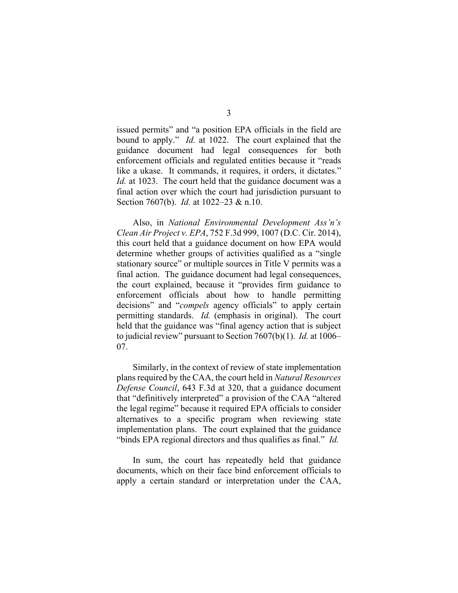issued permits" and "a position EPA officials in the field are bound to apply." *Id.* at 1022. The court explained that the guidance document had legal consequences for both enforcement officials and regulated entities because it "reads like a ukase. It commands, it requires, it orders, it dictates." *Id.* at 1023. The court held that the guidance document was a final action over which the court had jurisdiction pursuant to Section 7607(b). *Id.* at 1022–23 & n.10.

Also, in *National Environmental Development Ass'n's Clean Air Project v. EPA*, 752 F.3d 999, 1007 (D.C. Cir. 2014), this court held that a guidance document on how EPA would determine whether groups of activities qualified as a "single stationary source" or multiple sources in Title V permits was a final action. The guidance document had legal consequences, the court explained, because it "provides firm guidance to enforcement officials about how to handle permitting decisions" and "*compels* agency officials" to apply certain permitting standards. *Id.* (emphasis in original). The court held that the guidance was "final agency action that is subject to judicial review" pursuant to Section 7607(b)(1). *Id.* at 1006– 07.

Similarly, in the context of review of state implementation plans required by the CAA, the court held in *Natural Resources Defense Council*, 643 F.3d at 320, that a guidance document that "definitively interpreted" a provision of the CAA "altered the legal regime" because it required EPA officials to consider alternatives to a specific program when reviewing state implementation plans. The court explained that the guidance "binds EPA regional directors and thus qualifies as final." *Id.*

In sum, the court has repeatedly held that guidance documents, which on their face bind enforcement officials to apply a certain standard or interpretation under the CAA,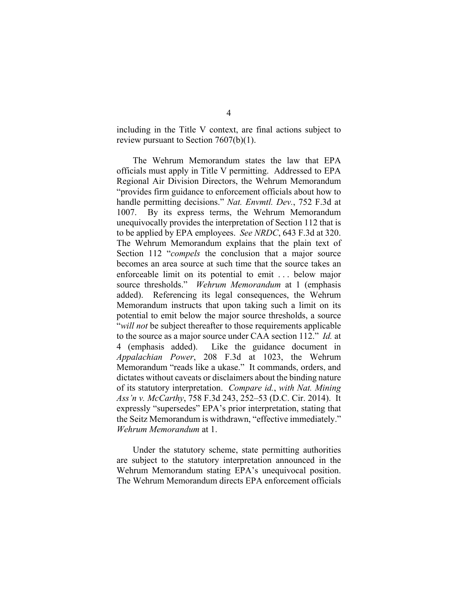including in the Title V context, are final actions subject to review pursuant to Section 7607(b)(1).

The Wehrum Memorandum states the law that EPA officials must apply in Title V permitting. Addressed to EPA Regional Air Division Directors, the Wehrum Memorandum "provides firm guidance to enforcement officials about how to handle permitting decisions." *Nat. Envmtl. Dev.*, 752 F.3d at 1007. By its express terms, the Wehrum Memorandum unequivocally provides the interpretation of Section 112 that is to be applied by EPA employees. *See NRDC*, 643 F.3d at 320. The Wehrum Memorandum explains that the plain text of Section 112 "*compels* the conclusion that a major source becomes an area source at such time that the source takes an enforceable limit on its potential to emit . . . below major source thresholds." *Wehrum Memorandum* at 1 (emphasis added). Referencing its legal consequences, the Wehrum Memorandum instructs that upon taking such a limit on its potential to emit below the major source thresholds, a source "*will not* be subject thereafter to those requirements applicable to the source as a major source under CAA section 112." *Id.* at 4 (emphasis added). Like the guidance document in *Appalachian Power*, 208 F.3d at 1023, the Wehrum Memorandum "reads like a ukase." It commands, orders, and dictates without caveats or disclaimers about the binding nature of its statutory interpretation. *Compare id.*, *with Nat. Mining Ass'n v. McCarthy*, 758 F.3d 243, 252–53 (D.C. Cir. 2014). It expressly "supersedes" EPA's prior interpretation, stating that the Seitz Memorandum is withdrawn, "effective immediately." *Wehrum Memorandum* at 1.

Under the statutory scheme, state permitting authorities are subject to the statutory interpretation announced in the Wehrum Memorandum stating EPA's unequivocal position. The Wehrum Memorandum directs EPA enforcement officials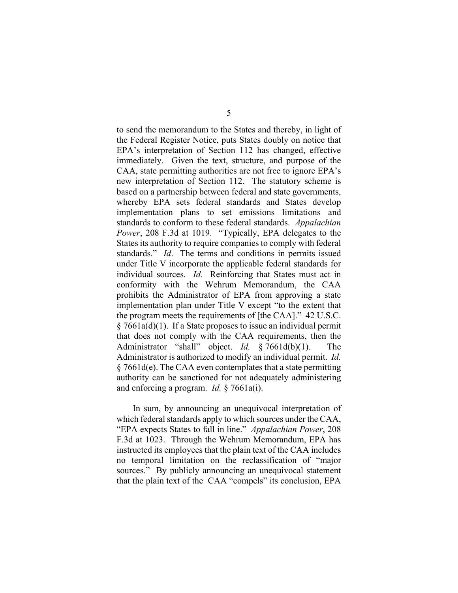to send the memorandum to the States and thereby, in light of the Federal Register Notice, puts States doubly on notice that EPA's interpretation of Section 112 has changed, effective immediately. Given the text, structure, and purpose of the CAA, state permitting authorities are not free to ignore EPA's new interpretation of Section 112. The statutory scheme is based on a partnership between federal and state governments, whereby EPA sets federal standards and States develop implementation plans to set emissions limitations and standards to conform to these federal standards. *Appalachian Power*, 208 F.3d at 1019. "Typically, EPA delegates to the States its authority to require companies to comply with federal standards." *Id*. The terms and conditions in permits issued under Title V incorporate the applicable federal standards for individual sources. *Id.* Reinforcing that States must act in conformity with the Wehrum Memorandum, the CAA prohibits the Administrator of EPA from approving a state implementation plan under Title V except "to the extent that the program meets the requirements of [the CAA]." 42 U.S.C. § 7661a(d)(1). If a State proposes to issue an individual permit that does not comply with the CAA requirements, then the Administrator "shall" object. *Id.* § 7661d(b)(1). The Administrator is authorized to modify an individual permit. *Id.*  § 7661d(e). The CAA even contemplates that a state permitting authority can be sanctioned for not adequately administering and enforcing a program. *Id.* § 7661a(i).

In sum, by announcing an unequivocal interpretation of which federal standards apply to which sources under the CAA, "EPA expects States to fall in line." *Appalachian Power*, 208 F.3d at 1023. Through the Wehrum Memorandum, EPA has instructed its employees that the plain text of the CAA includes no temporal limitation on the reclassification of "major sources." By publicly announcing an unequivocal statement that the plain text of the CAA "compels" its conclusion, EPA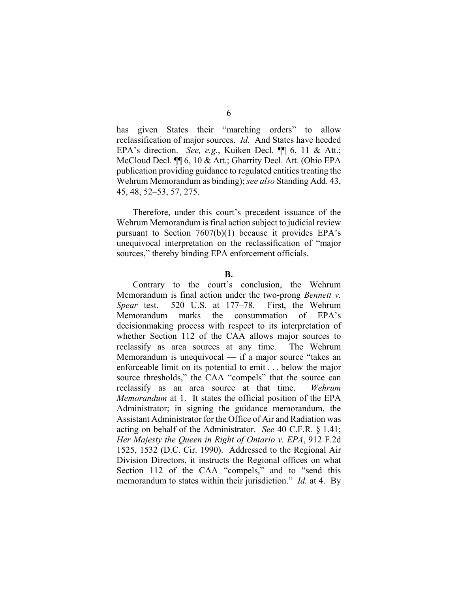has given States their "marching orders" to allow reclassification of major sources. *Id.* And States have heeded EPA's direction. *See, e.g.*, Kuiken Decl. ¶¶ 6, 11 & Att.; McCloud Decl. ¶¶ 6, 10 & Att.; Gharrity Decl. Att. (Ohio EPA publication providing guidance to regulated entities treating the Wehrum Memorandum as binding); *see also* Standing Add. 43, 45, 48, 52–53, 57, 275.

Therefore, under this court's precedent issuance of the Wehrum Memorandum is final action subject to judicial review pursuant to Section 7607(b)(1) because it provides EPA's unequivocal interpretation on the reclassification of "major sources," thereby binding EPA enforcement officials.

#### **B.**

Contrary to the court's conclusion, the Wehrum Memorandum is final action under the two-prong *Bennett v. Spear* test. 520 U.S. at 177–78. First, the Wehrum Memorandum marks the consummation of EPA's decisionmaking process with respect to its interpretation of whether Section 112 of the CAA allows major sources to reclassify as area sources at any time. The Wehrum Memorandum is unequivocal — if a major source "takes an enforceable limit on its potential to emit . . . below the major source thresholds," the CAA "compels" that the source can reclassify as an area source at that time. *Wehrum Memorandum* at 1. It states the official position of the EPA Administrator; in signing the guidance memorandum, the Assistant Administrator for the Office of Air and Radiation was acting on behalf of the Administrator. *See* 40 C.F.R. § 1.41; *Her Majesty the Queen in Right of Ontario v. EPA*, 912 F.2d 1525, 1532 (D.C. Cir. 1990). Addressed to the Regional Air Division Directors, it instructs the Regional offices on what Section 112 of the CAA "compels," and to "send this memorandum to states within their jurisdiction." *Id.* at 4. By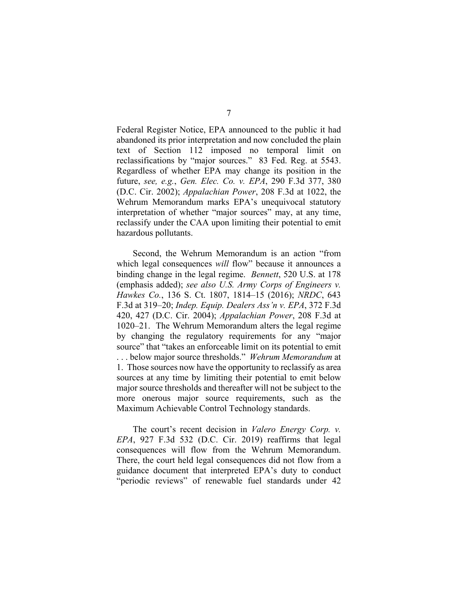Federal Register Notice, EPA announced to the public it had abandoned its prior interpretation and now concluded the plain text of Section 112 imposed no temporal limit on reclassifications by "major sources." 83 Fed. Reg. at 5543. Regardless of whether EPA may change its position in the future, *see, e.g.*, *Gen. Elec. Co. v. EPA*, 290 F.3d 377, 380 (D.C. Cir. 2002); *Appalachian Power*, 208 F.3d at 1022, the Wehrum Memorandum marks EPA's unequivocal statutory interpretation of whether "major sources" may, at any time, reclassify under the CAA upon limiting their potential to emit hazardous pollutants.

Second, the Wehrum Memorandum is an action "from which legal consequences *will* flow" because it announces a binding change in the legal regime. *Bennett*, 520 U.S. at 178 (emphasis added); *see also U.S. Army Corps of Engineers v. Hawkes Co.*, 136 S. Ct. 1807, 1814–15 (2016); *NRDC*, 643 F.3d at 319–20; *Indep. Equip. Dealers Ass'n v. EPA*, 372 F.3d 420, 427 (D.C. Cir. 2004); *Appalachian Power*, 208 F.3d at 1020–21. The Wehrum Memorandum alters the legal regime by changing the regulatory requirements for any "major source" that "takes an enforceable limit on its potential to emit . . . below major source thresholds." *Wehrum Memorandum* at 1. Those sources now have the opportunity to reclassify as area sources at any time by limiting their potential to emit below major source thresholds and thereafter will not be subject to the more onerous major source requirements, such as the Maximum Achievable Control Technology standards.

The court's recent decision in *Valero Energy Corp. v. EPA*, 927 F.3d 532 (D.C. Cir. 2019) reaffirms that legal consequences will flow from the Wehrum Memorandum. There, the court held legal consequences did not flow from a guidance document that interpreted EPA's duty to conduct "periodic reviews" of renewable fuel standards under 42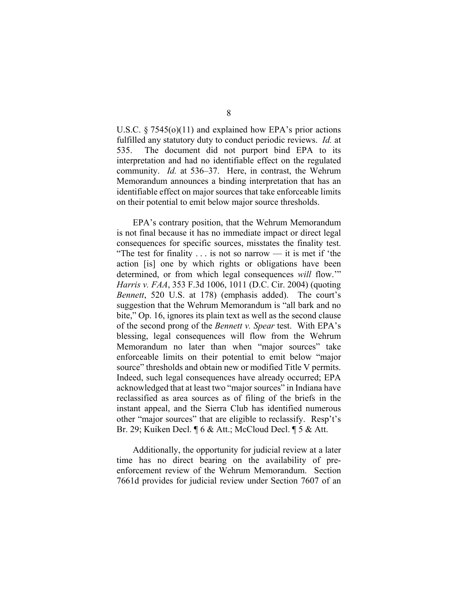U.S.C.  $\S 7545(0)(11)$  and explained how EPA's prior actions fulfilled any statutory duty to conduct periodic reviews. *Id.* at 535. The document did not purport bind EPA to its interpretation and had no identifiable effect on the regulated community. *Id.* at 536–37. Here, in contrast, the Wehrum Memorandum announces a binding interpretation that has an identifiable effect on major sources that take enforceable limits on their potential to emit below major source thresholds.

EPA's contrary position, that the Wehrum Memorandum is not final because it has no immediate impact or direct legal consequences for specific sources, misstates the finality test. "The test for finality  $\dots$  is not so narrow — it is met if 'the action [is] one by which rights or obligations have been determined, or from which legal consequences *will* flow.'" *Harris v. FAA*, 353 F.3d 1006, 1011 (D.C. Cir. 2004) (quoting *Bennett*, 520 U.S. at 178) (emphasis added). The court's suggestion that the Wehrum Memorandum is "all bark and no bite," Op. 16, ignores its plain text as well as the second clause of the second prong of the *Bennett v. Spear* test. With EPA's blessing, legal consequences will flow from the Wehrum Memorandum no later than when "major sources" take enforceable limits on their potential to emit below "major source" thresholds and obtain new or modified Title V permits. Indeed, such legal consequences have already occurred; EPA acknowledged that at least two "major sources" in Indiana have reclassified as area sources as of filing of the briefs in the instant appeal, and the Sierra Club has identified numerous other "major sources" that are eligible to reclassify. Resp't's Br. 29; Kuiken Decl. ¶ 6 & Att.; McCloud Decl. ¶ 5 & Att.

Additionally, the opportunity for judicial review at a later time has no direct bearing on the availability of preenforcement review of the Wehrum Memorandum. Section 7661d provides for judicial review under Section 7607 of an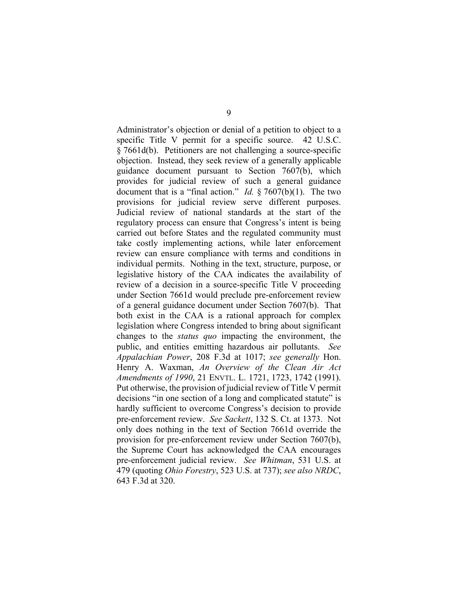Administrator's objection or denial of a petition to object to a specific Title V permit for a specific source. 42 U.S.C. § 7661d(b). Petitioners are not challenging a source-specific objection. Instead, they seek review of a generally applicable guidance document pursuant to Section 7607(b), which provides for judicial review of such a general guidance document that is a "final action." *Id.* § 7607(b)(1). The two provisions for judicial review serve different purposes. Judicial review of national standards at the start of the regulatory process can ensure that Congress's intent is being carried out before States and the regulated community must take costly implementing actions, while later enforcement review can ensure compliance with terms and conditions in individual permits. Nothing in the text, structure, purpose, or legislative history of the CAA indicates the availability of review of a decision in a source-specific Title V proceeding under Section 7661d would preclude pre-enforcement review of a general guidance document under Section 7607(b). That both exist in the CAA is a rational approach for complex legislation where Congress intended to bring about significant changes to the *status quo* impacting the environment, the public, and entities emitting hazardous air pollutants. *See Appalachian Power*, 208 F.3d at 1017; *see generally* Hon. Henry A. Waxman, *An Overview of the Clean Air Act Amendments of 1990*, 21 ENVTL. L. 1721, 1723, 1742 (1991). Put otherwise, the provision of judicial review of Title V permit decisions "in one section of a long and complicated statute" is hardly sufficient to overcome Congress's decision to provide pre-enforcement review. *See Sackett*, 132 S. Ct. at 1373. Not only does nothing in the text of Section 7661d override the provision for pre-enforcement review under Section 7607(b), the Supreme Court has acknowledged the CAA encourages pre-enforcement judicial review. *See Whitman*, 531 U.S. at 479 (quoting *Ohio Forestry*, 523 U.S. at 737); *see also NRDC*, 643 F.3d at 320.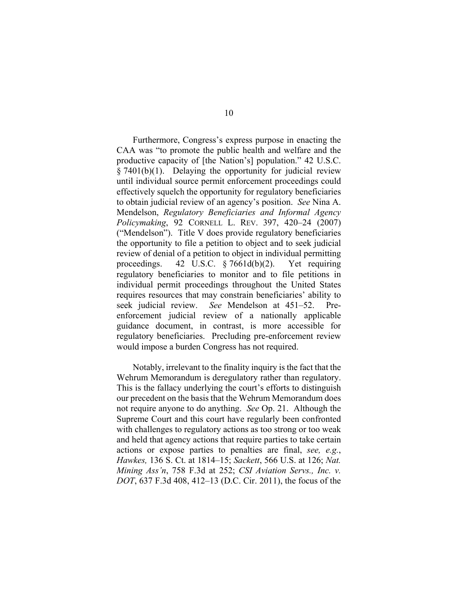Furthermore, Congress's express purpose in enacting the CAA was "to promote the public health and welfare and the productive capacity of [the Nation's] population." 42 U.S.C.  $§ 7401(b)(1)$ . Delaying the opportunity for judicial review until individual source permit enforcement proceedings could effectively squelch the opportunity for regulatory beneficiaries to obtain judicial review of an agency's position. *See* Nina A. Mendelson, *Regulatory Beneficiaries and Informal Agency Policymaking*, 92 CORNELL L. REV. 397, 420–24 (2007) ("Mendelson"). Title V does provide regulatory beneficiaries the opportunity to file a petition to object and to seek judicial review of denial of a petition to object in individual permitting proceedings. 42 U.S.C. § 7661d(b)(2). Yet requiring regulatory beneficiaries to monitor and to file petitions in individual permit proceedings throughout the United States requires resources that may constrain beneficiaries' ability to seek judicial review. See Mendelson at 451–52. Pre-See Mendelson at 451–52. Preenforcement judicial review of a nationally applicable guidance document, in contrast, is more accessible for regulatory beneficiaries. Precluding pre-enforcement review would impose a burden Congress has not required.

Notably, irrelevant to the finality inquiry is the fact that the Wehrum Memorandum is deregulatory rather than regulatory. This is the fallacy underlying the court's efforts to distinguish our precedent on the basis that the Wehrum Memorandum does not require anyone to do anything. *See* Op. 21. Although the Supreme Court and this court have regularly been confronted with challenges to regulatory actions as too strong or too weak and held that agency actions that require parties to take certain actions or expose parties to penalties are final, *see, e.g.*, *Hawkes,* 136 S. Ct. at 1814–15; *Sackett*, 566 U.S. at 126; *Nat. Mining Ass'n*, 758 F.3d at 252; *CSI Aviation Servs., Inc. v. DOT*, 637 F.3d 408, 412–13 (D.C. Cir. 2011), the focus of the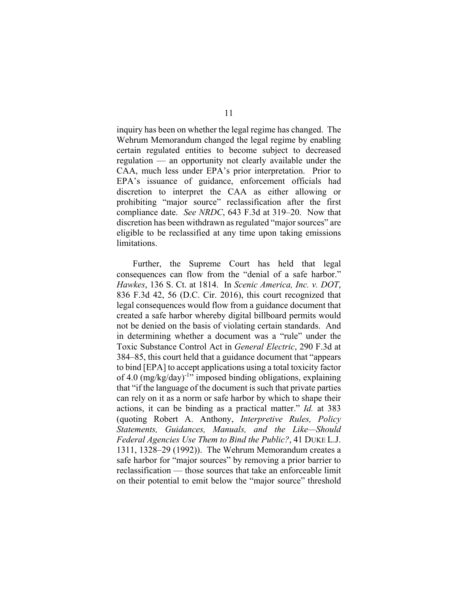inquiry has been on whether the legal regime has changed. The Wehrum Memorandum changed the legal regime by enabling certain regulated entities to become subject to decreased regulation — an opportunity not clearly available under the CAA, much less under EPA's prior interpretation. Prior to EPA's issuance of guidance, enforcement officials had discretion to interpret the CAA as either allowing or prohibiting "major source" reclassification after the first compliance date. *See NRDC*, 643 F.3d at 319–20. Now that discretion has been withdrawn as regulated "major sources" are eligible to be reclassified at any time upon taking emissions limitations.

Further, the Supreme Court has held that legal consequences can flow from the "denial of a safe harbor." *Hawkes*, 136 S. Ct. at 1814. In *Scenic America, Inc. v. DOT*, 836 F.3d 42, 56 (D.C. Cir. 2016), this court recognized that legal consequences would flow from a guidance document that created a safe harbor whereby digital billboard permits would not be denied on the basis of violating certain standards. And in determining whether a document was a "rule" under the Toxic Substance Control Act in *General Electric*, 290 F.3d at 384–85, this court held that a guidance document that "appears to bind [EPA] to accept applications using a total toxicity factor of 4.0  $(mg/kg/day)^{-1}$ " imposed binding obligations, explaining that "if the language of the document is such that private parties can rely on it as a norm or safe harbor by which to shape their actions, it can be binding as a practical matter." *Id.* at 383 (quoting Robert A. Anthony, *Interpretive Rules, Policy Statements, Guidances, Manuals, and the Like—Should Federal Agencies Use Them to Bind the Public?*, 41 DUKE L.J. 1311, 1328–29 (1992)). The Wehrum Memorandum creates a safe harbor for "major sources" by removing a prior barrier to reclassification — those sources that take an enforceable limit on their potential to emit below the "major source" threshold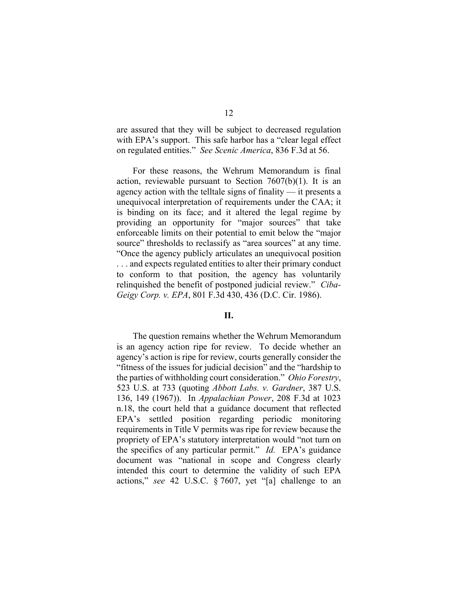are assured that they will be subject to decreased regulation with EPA's support. This safe harbor has a "clear legal effect on regulated entities." *See Scenic America*, 836 F.3d at 56.

For these reasons, the Wehrum Memorandum is final action, reviewable pursuant to Section  $7607(b)(1)$ . It is an agency action with the telltale signs of finality — it presents a unequivocal interpretation of requirements under the CAA; it is binding on its face; and it altered the legal regime by providing an opportunity for "major sources" that take enforceable limits on their potential to emit below the "major source" thresholds to reclassify as "area sources" at any time. "Once the agency publicly articulates an unequivocal position . . . and expects regulated entities to alter their primary conduct to conform to that position, the agency has voluntarily relinquished the benefit of postponed judicial review." *Ciba-Geigy Corp. v. EPA*, 801 F.3d 430, 436 (D.C. Cir. 1986).

### **II.**

The question remains whether the Wehrum Memorandum is an agency action ripe for review. To decide whether an agency's action is ripe for review, courts generally consider the "fitness of the issues for judicial decision" and the "hardship to the parties of withholding court consideration." *Ohio Forestry*, 523 U.S. at 733 (quoting *Abbott Labs. v. Gardner*, 387 U.S. 136, 149 (1967)). In *Appalachian Power*, 208 F.3d at 1023 n.18, the court held that a guidance document that reflected EPA's settled position regarding periodic monitoring requirements in Title V permits was ripe for review because the propriety of EPA's statutory interpretation would "not turn on the specifics of any particular permit." *Id.* EPA's guidance document was "national in scope and Congress clearly intended this court to determine the validity of such EPA actions," *see* 42 U.S.C. § 7607, yet "[a] challenge to an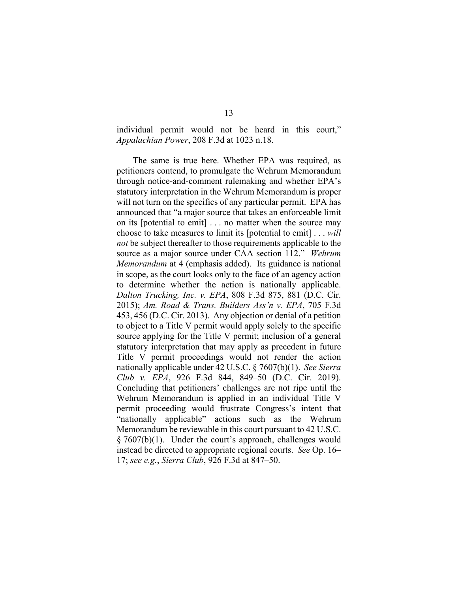individual permit would not be heard in this court," *Appalachian Power*, 208 F.3d at 1023 n.18.

The same is true here. Whether EPA was required, as petitioners contend, to promulgate the Wehrum Memorandum through notice-and-comment rulemaking and whether EPA's statutory interpretation in the Wehrum Memorandum is proper will not turn on the specifics of any particular permit. EPA has announced that "a major source that takes an enforceable limit on its [potential to emit] . . . no matter when the source may choose to take measures to limit its [potential to emit] . . . *will not* be subject thereafter to those requirements applicable to the source as a major source under CAA section 112." *Wehrum Memorandum* at 4 (emphasis added). Its guidance is national in scope, as the court looks only to the face of an agency action to determine whether the action is nationally applicable. *Dalton Trucking, Inc. v. EPA*, 808 F.3d 875, 881 (D.C. Cir. 2015); *Am. Road & Trans. Builders Ass'n v. EPA*, 705 F.3d 453, 456 (D.C. Cir. 2013). Any objection or denial of a petition to object to a Title V permit would apply solely to the specific source applying for the Title V permit; inclusion of a general statutory interpretation that may apply as precedent in future Title V permit proceedings would not render the action nationally applicable under 42 U.S.C. § 7607(b)(1). *See Sierra Club v. EPA*, 926 F.3d 844, 849–50 (D.C. Cir. 2019). Concluding that petitioners' challenges are not ripe until the Wehrum Memorandum is applied in an individual Title V permit proceeding would frustrate Congress's intent that "nationally applicable" actions such as the Wehrum Memorandum be reviewable in this court pursuant to 42 U.S.C.  $\S 7607(b)(1)$ . Under the court's approach, challenges would instead be directed to appropriate regional courts. *See* Op. 16– 17; *see e.g.*, *Sierra Club*, 926 F.3d at 847–50.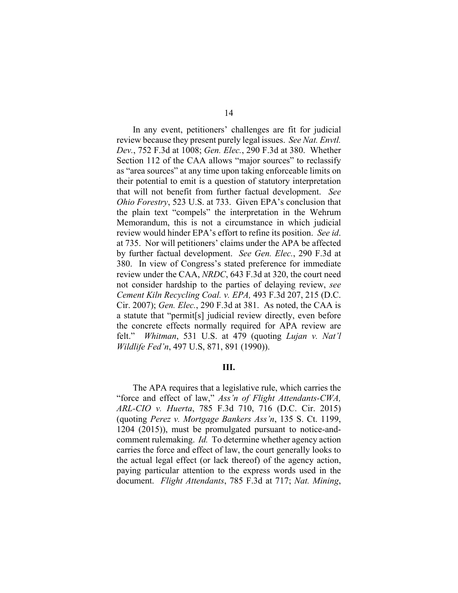In any event, petitioners' challenges are fit for judicial review because they present purely legal issues. *See Nat. Envtl. Dev.*, 752 F.3d at 1008; *Gen. Elec.*, 290 F.3d at 380. Whether Section 112 of the CAA allows "major sources" to reclassify as "area sources" at any time upon taking enforceable limits on their potential to emit is a question of statutory interpretation that will not benefit from further factual development. *See Ohio Forestry*, 523 U.S. at 733. Given EPA's conclusion that the plain text "compels" the interpretation in the Wehrum Memorandum, this is not a circumstance in which judicial review would hinder EPA's effort to refine its position. *See id*. at 735. Nor will petitioners' claims under the APA be affected by further factual development. *See Gen. Elec.*, 290 F.3d at 380. In view of Congress's stated preference for immediate review under the CAA, *NRDC*, 643 F.3d at 320, the court need not consider hardship to the parties of delaying review, *see Cement Kiln Recycling Coal. v. EPA,* 493 F.3d 207, 215 (D.C. Cir. 2007); *Gen. Elec.*, 290 F.3d at 381. As noted, the CAA is a statute that "permit[s] judicial review directly, even before the concrete effects normally required for APA review are felt." *Whitman*, 531 U.S. at 479 (quoting *Lujan v. Nat'l Wildlife Fed'n*, 497 U.S, 871, 891 (1990)).

## **III.**

The APA requires that a legislative rule, which carries the "force and effect of law," *Ass'n of Flight Attendants-CWA, ARL-CIO v. Huerta*, 785 F.3d 710, 716 (D.C. Cir. 2015) (quoting *Perez v. Mortgage Bankers Ass'n*, 135 S. Ct. 1199, 1204 (2015)), must be promulgated pursuant to notice-andcomment rulemaking. *Id.* To determine whether agency action carries the force and effect of law, the court generally looks to the actual legal effect (or lack thereof) of the agency action, paying particular attention to the express words used in the document. *Flight Attendants*, 785 F.3d at 717; *Nat. Mining*,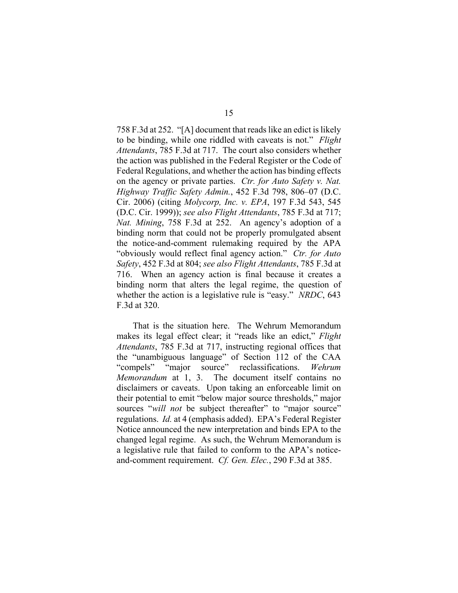758 F.3d at 252. "[A] document that reads like an edict is likely to be binding, while one riddled with caveats is not." *Flight Attendants*, 785 F.3d at 717. The court also considers whether the action was published in the Federal Register or the Code of Federal Regulations, and whether the action has binding effects on the agency or private parties. *Ctr. for Auto Safety v. Nat. Highway Traffic Safety Admin.*, 452 F.3d 798, 806–07 (D.C. Cir. 2006) (citing *Molycorp, Inc. v. EPA*, 197 F.3d 543, 545 (D.C. Cir. 1999)); *see also Flight Attendants*, 785 F.3d at 717; *Nat. Mining*, 758 F.3d at 252. An agency's adoption of a binding norm that could not be properly promulgated absent the notice-and-comment rulemaking required by the APA "obviously would reflect final agency action." *Ctr. for Auto Safety*, 452 F.3d at 804; *see also Flight Attendants*, 785 F.3d at 716. When an agency action is final because it creates a binding norm that alters the legal regime, the question of whether the action is a legislative rule is "easy." *NRDC*, 643 F.3d at 320.

That is the situation here. The Wehrum Memorandum makes its legal effect clear; it "reads like an edict," *Flight Attendants*, 785 F.3d at 717, instructing regional offices that the "unambiguous language" of Section 112 of the CAA "compels" "major source" reclassifications. *Wehrum Memorandum* at 1, 3. The document itself contains no disclaimers or caveats. Upon taking an enforceable limit on their potential to emit "below major source thresholds," major sources "will *not* be subject thereafter" to "major source" regulations. *Id.* at 4 (emphasis added). EPA's Federal Register Notice announced the new interpretation and binds EPA to the changed legal regime. As such, the Wehrum Memorandum is a legislative rule that failed to conform to the APA's noticeand-comment requirement. *Cf. Gen. Elec.*, 290 F.3d at 385.